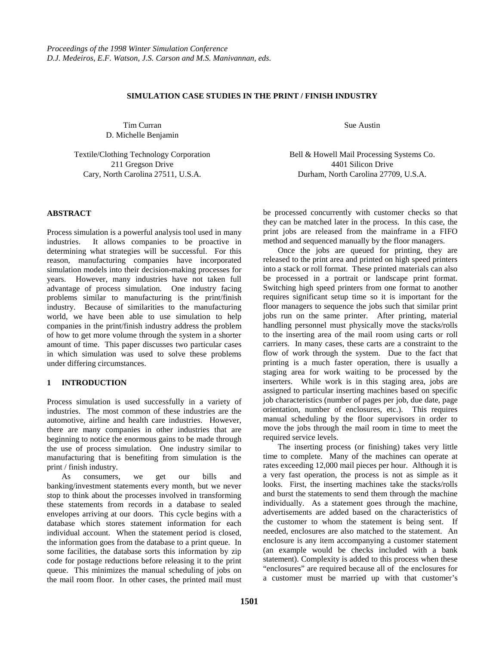### **SIMULATION CASE STUDIES IN THE PRINT / FINISH INDUSTRY**

Tim Curran D. Michelle Benjamin

Textile/Clothing Technology Corporation 211 Gregson Drive Cary, North Carolina 27511, U.S.A.

**ABSTRACT**

Process simulation is a powerful analysis tool used in many industries. It allows companies to be proactive in determining what strategies will be successful. For this reason, manufacturing companies have incorporated simulation models into their decision-making processes for years. However, many industries have not taken full advantage of process simulation. One industry facing problems similar to manufacturing is the print/finish industry. Because of similarities to the manufacturing world, we have been able to use simulation to help companies in the print/finish industry address the problem of how to get more volume through the system in a shorter amount of time. This paper discusses two particular cases in which simulation was used to solve these problems under differing circumstances.

#### **1 INTRODUCTION**

Process simulation is used successfully in a variety of industries. The most common of these industries are the automotive, airline and health care industries. However, there are many companies in other industries that are beginning to notice the enormous gains to be made through the use of process simulation. One industry similar to manufacturing that is benefiting from simulation is the print / finish industry.

As consumers, we get our bills and banking/investment statements every month, but we never stop to think about the processes involved in transforming these statements from records in a database to sealed envelopes arriving at our doors. This cycle begins with a database which stores statement information for each individual account. When the statement period is closed, the information goes from the database to a print queue. In some facilities, the database sorts this information by zip code for postage reductions before releasing it to the print queue. This minimizes the manual scheduling of jobs on the mail room floor. In other cases, the printed mail must Sue Austin

Bell & Howell Mail Processing Systems Co. 4401 Silicon Drive Durham, North Carolina 27709, U.S.A.

be processed concurrently with customer checks so that they can be matched later in the process. In this case, the print jobs are released from the mainframe in a FIFO method and sequenced manually by the floor managers.

Once the jobs are queued for printing, they are released to the print area and printed on high speed printers into a stack or roll format. These printed materials can also be processed in a portrait or landscape print format. Switching high speed printers from one format to another requires significant setup time so it is important for the floor managers to sequence the jobs such that similar print jobs run on the same printer. After printing, material handling personnel must physically move the stacks/rolls to the inserting area of the mail room using carts or roll carriers. In many cases, these carts are a constraint to the flow of work through the system. Due to the fact that printing is a much faster operation, there is usually a staging area for work waiting to be processed by the inserters. While work is in this staging area, jobs are assigned to particular inserting machines based on specific job characteristics (number of pages per job, due date, page orientation, number of enclosures, etc.). This requires manual scheduling by the floor supervisors in order to move the jobs through the mail room in time to meet the required service levels.

The inserting process (or finishing) takes very little time to complete. Many of the machines can operate at rates exceeding 12,000 mail pieces per hour. Although it is a very fast operation, the process is not as simple as it looks. First, the inserting machines take the stacks/rolls and burst the statements to send them through the machine individually. As a statement goes through the machine, advertisements are added based on the characteristics of the customer to whom the statement is being sent. If needed, enclosures are also matched to the statement. An enclosure is any item accompanying a customer statement (an example would be checks included with a bank statement). Complexity is added to this process when these "enclosures" are required because all of the enclosures for a customer must be married up with that customer's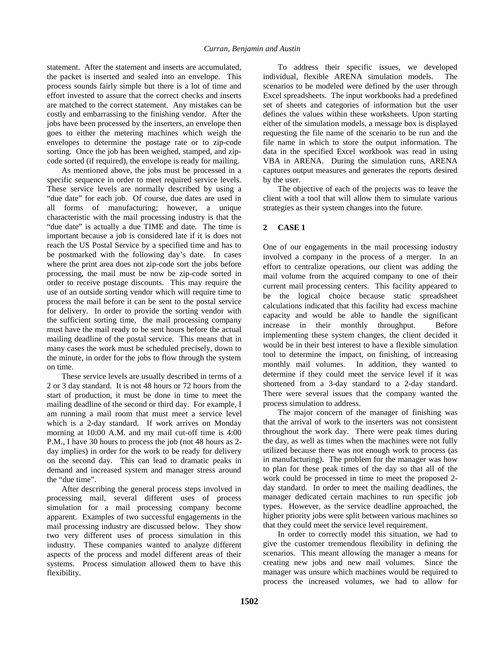statement. After the statement and inserts are accumulated, the packet is inserted and sealed into an envelope. This process sounds fairly simple but there is a lot of time and effort invested to assure that the correct checks and inserts are matched to the correct statement. Any mistakes can be costly and embarrassing to the finishing vendor. After the jobs have been processed by the inserters, an envelope then goes to either the metering machines which weigh the envelopes to determine the postage rate or to zip-code sorting. Once the job has been weighed, stamped, and zipcode sorted (if required), the envelope is ready for mailing.

As mentioned above, the jobs must be processed in a specific sequence in order to meet required service levels. These service levels are normally described by using a "due date" for each job. Of course, due dates are used in all forms of manufacturing; however, a unique characteristic with the mail processing industry is that the "due date" is actually a due TIME and date. The time is important because a job is considered late if it is does not reach the US Postal Service by a specified time and has to be postmarked with the following day's date. In cases where the print area does not zip-code sort the jobs before processing, the mail must be now be zip-code sorted in order to receive postage discounts. This may require the use of an outside sorting vendor which will require time to process the mail before it can be sent to the postal service for delivery. In order to provide the sorting vendor with the sufficient sorting time, the mail processing company must have the mail ready to be sent hours before the actual mailing deadline of the postal service. This means that in many cases the work must be scheduled precisely, down to the minute, in order for the jobs to flow through the system on time.

These service levels are usually described in terms of a 2 or 3 day standard. It is not 48 hours or 72 hours from the start of production, it must be done in time to meet the mailing deadline of the second or third day. For example, I am running a mail room that must meet a service level which is a 2-day standard. If work arrives on Monday morning at 10:00 A.M. and my mail cut-off time is 4:00 P.M., I have 30 hours to process the job (not 48 hours as 2 day implies) in order for the work to be ready for delivery on the second day. This can lead to dramatic peaks in demand and increased system and manager stress around the "due time".

After describing the general process steps involved in processing mail, several different uses of process simulation for a mail processing company become apparent. Examples of two successful engagements in the mail processing industry are discussed below. They show two very different uses of process simulation in this industry. These companies wanted to analyze different aspects of the process and model different areas of their systems. Process simulation allowed them to have this flexibility.

To address their specific issues, we developed individual, flexible ARENA simulation models. The scenarios to be modeled were defined by the user through Excel spreadsheets. The input workbooks had a predefined set of sheets and categories of information but the user defines the values within these worksheets. Upon starting either of the simulation models, a message box is displayed requesting the file name of the scenario to be run and the file name in which to store the output information. The data in the specified Excel workbook was read in using VBA in ARENA. During the simulation runs, ARENA captures output measures and generates the reports desired by the user.

The objective of each of the projects was to leave the client with a tool that will allow them to simulate various strategies as their system changes into the future.

# **2 CASE 1**

One of our engagements in the mail processing industry involved a company in the process of a merger. In an effort to centralize operations, our client was adding the mail volume from the acquired company to one of their current mail processing centers. This facility appeared to be the logical choice because static spreadsheet calculations indicated that this facility had excess machine capacity and would be able to handle the significant increase in their monthly throughput. Before implementing these system changes, the client decided it would be in their best interest to have a flexible simulation tool to determine the impact, on finishing, of increasing monthly mail volumes. In addition, they wanted to determine if they could meet the service level if it was shortened from a 3-day standard to a 2-day standard. There were several issues that the company wanted the process simulation to address.

The major concern of the manager of finishing was that the arrival of work to the inserters was not consistent throughout the work day. There were peak times during the day, as well as times when the machines were not fully utilized because there was not enough work to process (as in manufacturing). The problem for the manager was how to plan for these peak times of the day so that all of the work could be processed in time to meet the proposed 2 day standard. In order to meet the mailing deadlines, the manager dedicated certain machines to run specific job types. However, as the service deadline approached, the higher priority jobs were split between various machines so that they could meet the service level requirement.

In order to correctly model this situation, we had to give the customer tremendous flexibility in defining the scenarios. This meant allowing the manager a means for creating new jobs and new mail volumes. Since the manager was unsure which machines would be required to process the increased volumes, we had to allow for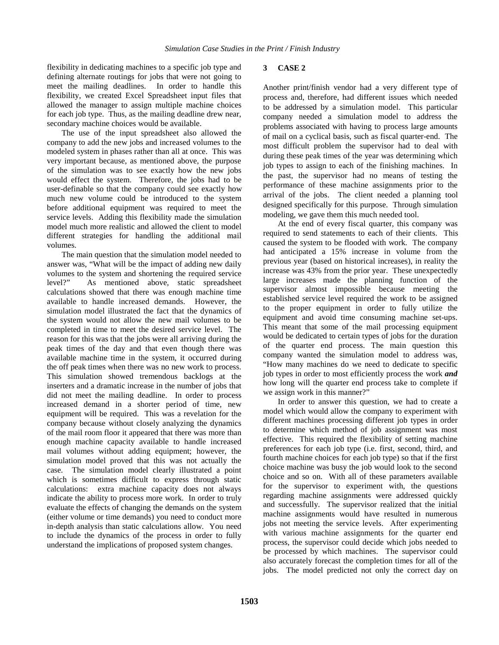flexibility in dedicating machines to a specific job type and defining alternate routings for jobs that were not going to meet the mailing deadlines. In order to handle this flexibility, we created Excel Spreadsheet input files that allowed the manager to assign multiple machine choices for each job type. Thus, as the mailing deadline drew near, secondary machine choices would be available.

The use of the input spreadsheet also allowed the company to add the new jobs and increased volumes to the modeled system in phases rather than all at once. This was very important because, as mentioned above, the purpose of the simulation was to see exactly how the new jobs would effect the system. Therefore, the jobs had to be user-definable so that the company could see exactly how much new volume could be introduced to the system before additional equipment was required to meet the service levels. Adding this flexibility made the simulation model much more realistic and allowed the client to model different strategies for handling the additional mail volumes.

The main question that the simulation model needed to answer was, "What will be the impact of adding new daily volumes to the system and shortening the required service level?" As mentioned above, static spreadsheet calculations showed that there was enough machine time available to handle increased demands. However, the simulation model illustrated the fact that the dynamics of the system would not allow the new mail volumes to be completed in time to meet the desired service level. The reason for this was that the jobs were all arriving during the peak times of the day and that even though there was available machine time in the system, it occurred during the off peak times when there was no new work to process. This simulation showed tremendous backlogs at the inserters and a dramatic increase in the number of jobs that did not meet the mailing deadline. In order to process increased demand in a shorter period of time, new equipment will be required. This was a revelation for the company because without closely analyzing the dynamics of the mail room floor it appeared that there was more than enough machine capacity available to handle increased mail volumes without adding equipment; however, the simulation model proved that this was not actually the case. The simulation model clearly illustrated a point which is sometimes difficult to express through static calculations: extra machine capacity does not always indicate the ability to process more work. In order to truly evaluate the effects of changing the demands on the system (either volume or time demands) you need to conduct more in-depth analysis than static calculations allow. You need to include the dynamics of the process in order to fully understand the implications of proposed system changes.

### **3 CASE 2**

Another print/finish vendor had a very different type of process and, therefore, had different issues which needed to be addressed by a simulation model. This particular company needed a simulation model to address the problems associated with having to process large amounts of mail on a cyclical basis, such as fiscal quarter-end. The most difficult problem the supervisor had to deal with during these peak times of the year was determining which job types to assign to each of the finishing machines. In the past, the supervisor had no means of testing the performance of these machine assignments prior to the arrival of the jobs. The client needed a planning tool designed specifically for this purpose. Through simulation modeling, we gave them this much needed tool.

At the end of every fiscal quarter, this company was required to send statements to each of their clients. This caused the system to be flooded with work. The company had anticipated a 15% increase in volume from the previous year (based on historical increases), in reality the increase was 43% from the prior year. These unexpectedly large increases made the planning function of the supervisor almost impossible because meeting the established service level required the work to be assigned to the proper equipment in order to fully utilize the equipment and avoid time consuming machine set-ups. This meant that some of the mail processing equipment would be dedicated to certain types of jobs for the duration of the quarter end process. The main question this company wanted the simulation model to address was, "How many machines do we need to dedicate to specific job types in order to most efficiently process the work *and* how long will the quarter end process take to complete if we assign work in this manner?"

In order to answer this question, we had to create a model which would allow the company to experiment with different machines processing different job types in order to determine which method of job assignment was most effective. This required the flexibility of setting machine preferences for each job type (i.e. first, second, third, and fourth machine choices for each job type) so that if the first choice machine was busy the job would look to the second choice and so on. With all of these parameters available for the supervisor to experiment with, the questions regarding machine assignments were addressed quickly and successfully. The supervisor realized that the initial machine assignments would have resulted in numerous jobs not meeting the service levels. After experimenting with various machine assignments for the quarter end process, the supervisor could decide which jobs needed to be processed by which machines. The supervisor could also accurately forecast the completion times for all of the jobs. The model predicted not only the correct day on